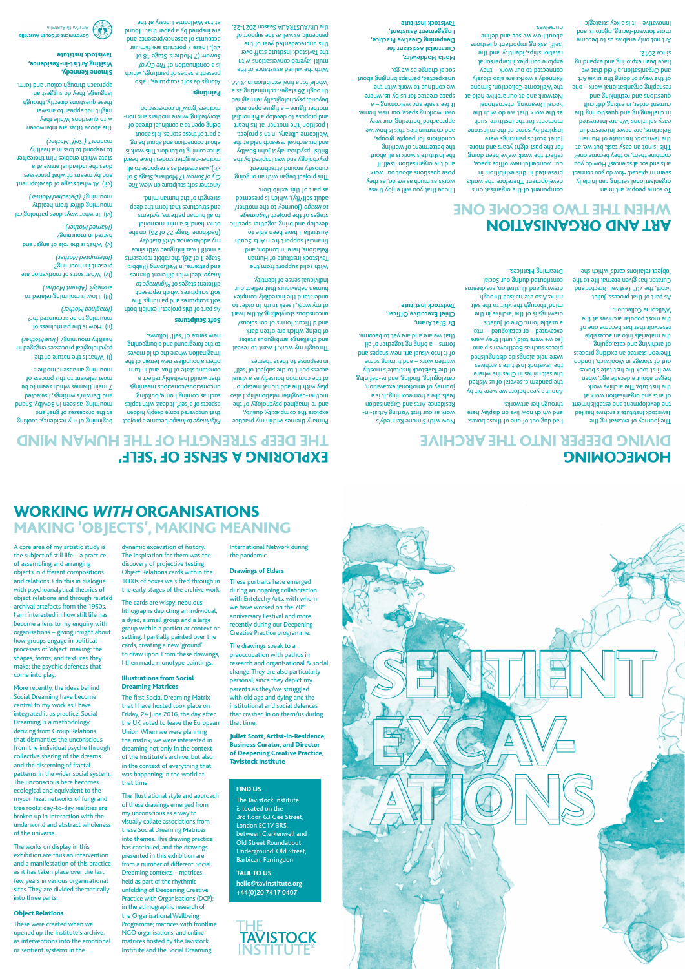A core area of my artistic study is the subject of still life – a practice of assembling and arranging objects in different compositions and relations. I do this in dialogue with psychoanalytical theories of object relations and through related archival artefacts from the 1950s. I am interested in how still life has become a lens to my enquiry with organisations – giving insight about how groups engage in political

More recently, the ideas behind Social Dreaming have become central to my work as I have integrated it as practice. Social Dreaming is a methodology eriving from Group Relat

that dismantles the unconscious from the individual psyche through collective sharing of the dreams and the discerning of fractal patterns in the wider social system. The unconscious here becomes ecological and equivalent to the mycorrhizal networks of fungi and tree roots; day-to-day realities are broken up in interaction with the underworld and abstract wholeness of the universe.

The works on display in this exhibition are thus an intervention and a manifestation of this practice as it has taken place over the last few years in various organisational sites. They are divided thematically into three parts:

processes of 'object' making: the shapes, forms, and textures they make; the psychic defences that come into play. I then made monotype paintings. Illustrations from Social Dreaming Matrices The first Social Dreaming Matrix that I have hosted took place on Friday, 24 June 2016, the day after

#### Object Relations

These were created when we opened up the Institute's archive, as interventions into the emotional or sentient systems in the

dynamic excavation of history. The inspiration for them was the discovery of projective testing

Object Relations cards within the 1000s of boxes we sifted through in the early stages of the archive work.

The cards are wispy, nebulous lithographs depicting an individual, a dyad, a small group and a large group within a particular context or setting. I partially painted over the cards, creating a new 'ground'

to draw upon. From these drawings,

the UK voted to leave the European

To some beobje, are in an organisational setting can initially seem misplaced. How do you connect arts and social sciences? How do you compine them, so they become one? This is not an easy task, but we, at the Tavistock Institute of Human Relations, are never interested in easy solutions. We are interested in challenging and pues and and the current order, in asking difficult pue gnixhintan bue enoiteanp reshaping organisational work – one of the ways of doing this is via Art and Organisation, a field that we have been exploring and expanding

Union. When we were planning the matrix, we were interested in dreaming not only in the context of the Institute's archive, but also in the context of everything that was happening in the world at that time.

The illustrational style and approach of these drawings emerged from my unconscious as a way to visually collate associations from these Social Dreaming Matrices into themes. This drawing practice has continued, and the drawings presented in this exhibition are from a number of different Social Dreaming contexts – matrices held as part of the rhythmic unfolding of Deepening Creative Practice with Organisations (DCP); in the ethnographic research of the Organisational Wellbeing Programme; matrices with frontline NGO organisations; and online matrices hosted by the Tavistock Institute and the Social Dreaming

International Network during

**Drawings of Elders** 

EXPLORING A SENSE OF 'SELF'

These portraits have emerged during an ongoing collaboration with Entelechy Arts, with whom we have worked on the 70<sup>th</sup> anniversary Festival and more recently during our Deepening Creative Practice programme. The drawings speak to a preoccupation with pathos in research and organisational & social change. They are also particularly personal, since they depict my parents as they/we struggled with old age and dying and the institutional and social defences that crashed in on them/us during

the pandemic. WORKING *WITH* ORGANISATIONS MAKING 'OBJECTS', MAKING MEANING

that time.

Juliet Scott, Artist-in-Residence, Business Curator, and Director of Deepening Creative Practice, Tavistock Institute

S. Apauuay auowis 411M MON work as our first Visiting Artist-in-Residence, Arts and Organisation feels like a homecoming. It is a journey of emotional excavation, cataloguing, finding, and re-defining of the Tavistock Institute's mostly written work - and turning some of it into visual and when the shapes and forms – a bringing together of all that we are and are yet to become.

### ART AND ORGANISATION WHEN THE TWO BECOME ONE

since 2012.

This project began with an ongoing curiosity around attachment psychology and was inspired by the British psychoanalyst John Bowlby and his archival research held at the Wellcome Library. In this project, I position 'the mother' at its heart and propose to develop a Primordial mother figure – a figure open and beyond, psychologically reimagined through 26 stages, culminating as a 'whole' for a final exhibition in 2022. With the valued assistance of the multi-layered conversations with the Tavistock Institute staff over this unprecedented year of the pandemic, as well as the support of the UK/AUSTRALIA Season 2021-22,

 became a project *Pilgrimage to Imago* that uncovered some deeply hidden aspects of a 'self'. It deals with topics supping 'amou suimoo se upns s8ulueaw snoipsyop/snoipsyopun that would inevitably reflect a constant state of flux, and in turn

Art not only enables us to become more forward-facing, rigorous, and innovative – it is a key strategic auitabout we see and define ourselves.

offers a boundless wen terrain of the imagination, where the child moves to the foreground and a burgeoning new sense of 'self' follows.

Soft Sculptures

component of the organisation's development. Therefore, the works presented in this exhibition, in our wonderful new office space, reflect the work we've been doing for the past eight years and more. Juliet Scott's paintings were inspired by some of the milestone moments for the Institute, such as the work that we do with the Social Dreaming International Network and at our archive held at the Wellcome Collection. Simone Kennedy's works are also closely connected to our work – they explore complex interpersonal relationships, identity, and the 'self', asking important questions I hope that you will enjoy these works as much as we do, as they pose questions about our work and the organisation itself. If the Institute's work is all about the betterment of working conditions for people, groups, and communities, this is how we approached 'bettering' our very own working space, our new home. It feels safe and welcoming – a sbace created for us by us, where we continue to work with the unexpected, perhaps bringing about social change as we go.

Another soft sculpture on view, Ihe (7 Mothers, Stage 5 of *Cry of Sorrow* 26), was created as a response to all mother-daughter stories I have heard si xhow zidT .nobnol. This work is about connection and about being a part of these stories. It is about being open to a continual thread of storytelling, where mothers and nonmothers 'grow' in conversation.

beginning of my residency. Looking at the processes of grief and pueys 'Kqjmog ui uaas se 'Bujunow and Darwin's writings, I selected 7 main themes which seem to be most relevant to this process of mourning an absent mother: (i) What is the nature of the psychological processes engaged in *(True Mother)* healthy mourning? (ii) How is the painfulness of mourning to be accounted for?

(iii) How is mourning related to anxiety? (Absent Mother)

**Maria Markiewicz, Curatorial Assistant for Engagement Assistant, Tavistock Institute**

**Deepening Creative Practice,** 

## HOMECOMING DIVING DEEPER INTO THE ARCHIVE

The gpove titles are interwoven with questions. While they might not appear to answer these dnestions directly, through language<sup>, they do suggest an</sup> approach through colour and form.

> The journey of excavating the Tavistock Institute's archive has led the development and establishment and of arts and organisation work at the Institute. The archive work began about a decade ago, when we first took the Institute's boxes out of storage in Woolwich, London. Thereon started an exciting process of archiving and cataloguing the materials into an accessible had out of one of those boxes, and which wow live on display here through her artworks.

reservoir that has become one of the most popular archives at the

Wellcome Collection.

As part of that process, Juliet Scott, the 70<sup>th</sup> Festival Director and Curator, has given eternal life to the 'object relations cards' which she

About a year before we were hit by

the pandemic, several of us visited the salt mines in Cheshire where the Tavistock Institute's archives were held alongside distinguished pieces such as Beethoven's piano (so we were told), until they were excavated – or catalogued – into a usable form. One of Juliet's drawings is of the 'archive in the

mind' through the visit to the salt mine. Also eternalised through drawing and illustration, are dreams contributed during our Social Dreaming Matrices.

**Dr Eliat Aram,** 

**Chief Executive Officer, Tavistock Institute**

#### FIND US

The Tavistock Institute is located on the 3rd floor, 63 Gee Street, London EC1V 3RS, between Clerkenwell and Old Street Roundabout. Underground: Old Street, Barbican, Farringdon.

TALK TO US **hello@tavinstitute.org +44(0)20 7417 0407**





THE DEEP STRENGTH OF THE HUMAN MIND

Primary themes within my practice explore the complexity, duality, and re-imagined psychology of the mother-daughter relationship. I also play with the additional metaphor of the common housefly as a visual access point to the subject of 'self' in response to these themes. Through my work, I want to reveal and challeng aggress contact states of being which are often dark and difficult forms of conscious/ unconscious storytelling. At the heart of my work, I seek truth, in order to understand the incredibly complex human behaviours that reflect our individual sense of identity. With solid support from the Tavistock Institute of Human Relations, here in London, and financial support from Arts South Australia, I have been able to develop and bring together specific *Pilgrimage* stages of the project (Journey to the mother/ *to Imago* adult self/fly), which is presented as part of this exhibition.

As part of this project, I exhibit both soft sculptures and paintings. The soft sculptures, which represent *Pilgrimage to* different stages of , deal with different themes *Imago* and patterns. In Wellsp*ring* (Rabbit, Stage 1 of 26), the rabbit represents a motif I was intrigued with since wy adolescence. Until that day (Backbone, Stage 22 of 26), on the other hand, is a mini memorial to all human patterns, systems, and structures that form the deep strength of the human mind.

Paintings

Alongside soft sculptures, I also present a series of paintings, which *The Cry of* is a continuation of (7 Mothers, Stage 18 of *Sorrow* 26). These 7 portraits are familiar accounts of absence and presence and are inspired by a paper that I found at the Wellcome Library at the

*(Imagined Mother)*

(iv) What sorts of motivation are

present in mourning? *(Interrupted Mother)*

(v) What is the role of anger and

hatred in mourning? *(Married Mother)*

(vi) In what ways does pathological mourning differ from healthy *(Detached Mother)* mourning? (vii) At what stage of development and parameters of what processes does the individual arrive at a state which enables him thereafter to respond to loss in a healthy *('Self ' Mother)* manner?

#### Simone Kennedy, Visiting Artist-in-Residence, Tavistock Institute

**BIIBITEUA NIUOC 2TIA**  $\left( \cdot \right)$ Government of South Australia